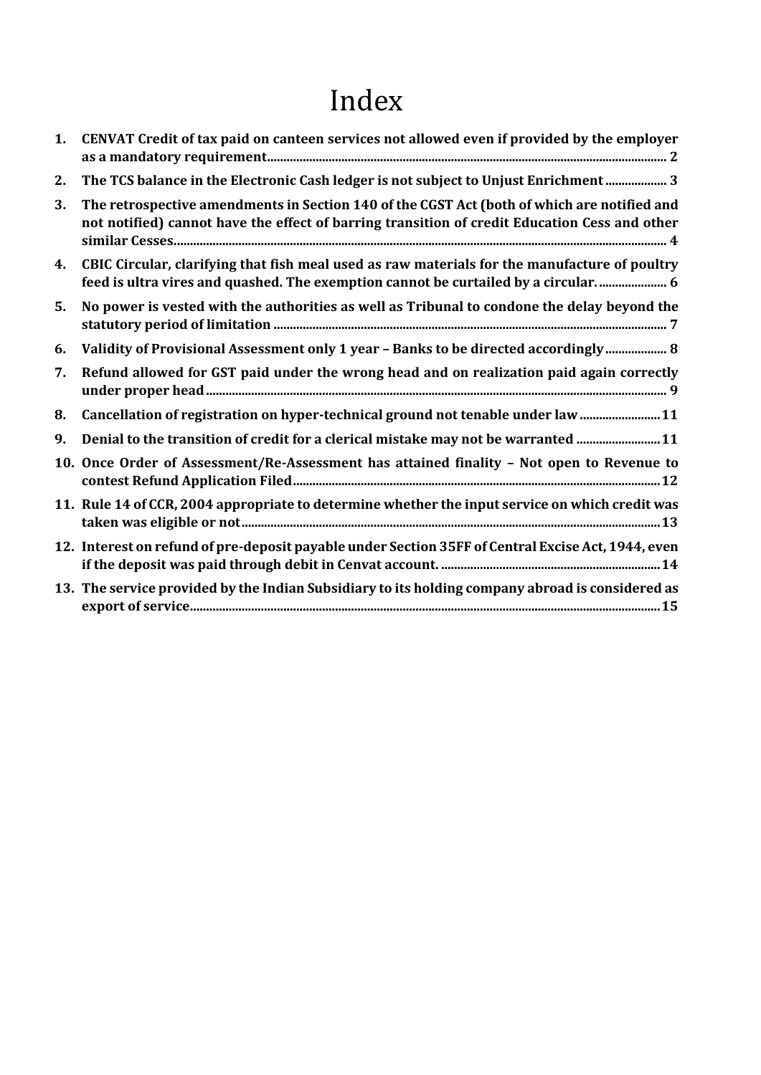# Index

| 1. | CENVAT Credit of tax paid on canteen services not allowed even if provided by the employer                                                                                                   |
|----|----------------------------------------------------------------------------------------------------------------------------------------------------------------------------------------------|
| 2. | The TCS balance in the Electronic Cash ledger is not subject to Unjust Enrichment  3                                                                                                         |
| 3. | The retrospective amendments in Section 140 of the CGST Act (both of which are notified and<br>not notified) cannot have the effect of barring transition of credit Education Cess and other |
| 4. | CBIC Circular, clarifying that fish meal used as raw materials for the manufacture of poultry<br>feed is ultra vires and quashed. The exemption cannot be curtailed by a circular 6          |
| 5. | No power is vested with the authorities as well as Tribunal to condone the delay beyond the                                                                                                  |
| 6. | Validity of Provisional Assessment only 1 year - Banks to be directed accordingly 8                                                                                                          |
| 7. | Refund allowed for GST paid under the wrong head and on realization paid again correctly                                                                                                     |
| 8. | Cancellation of registration on hyper-technical ground not tenable under law  11                                                                                                             |
| 9. | Denial to the transition of credit for a clerical mistake may not be warranted  11                                                                                                           |
|    | 10. Once Order of Assessment/Re-Assessment has attained finality - Not open to Revenue to                                                                                                    |
|    | 11. Rule 14 of CCR, 2004 appropriate to determine whether the input service on which credit was                                                                                              |
|    | 12. Interest on refund of pre-deposit payable under Section 35FF of Central Excise Act, 1944, even                                                                                           |
|    | 13. The service provided by the Indian Subsidiary to its holding company abroad is considered as                                                                                             |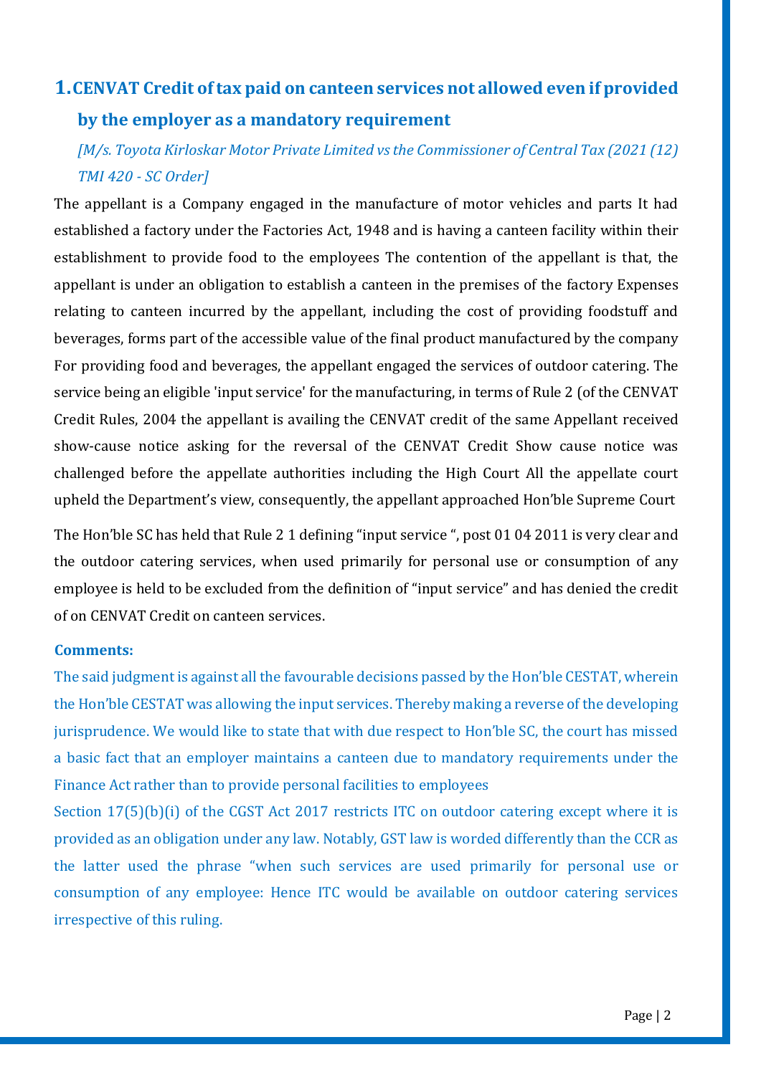# <span id="page-1-0"></span>**1.CENVAT Credit of tax paid on canteen services not allowed even if provided by the employer as a mandatory requirement**

*[M/s. Toyota Kirloskar Motor Private Limited vs the Commissioner of Central Tax (2021 (12) TMI 420 - SC Order]*

The appellant is a Company engaged in the manufacture of motor vehicles and parts It had established a factory under the Factories Act, 1948 and is having a canteen facility within their establishment to provide food to the employees The contention of the appellant is that, the appellant is under an obligation to establish a canteen in the premises of the factory Expenses relating to canteen incurred by the appellant, including the cost of providing foodstuff and beverages, forms part of the accessible value of the final product manufactured by the company For providing food and beverages, the appellant engaged the services of outdoor catering. The service being an eligible 'input service' for the manufacturing, in terms of Rule 2 (of the CENVAT Credit Rules, 2004 the appellant is availing the CENVAT credit of the same Appellant received show-cause notice asking for the reversal of the CENVAT Credit Show cause notice was challenged before the appellate authorities including the High Court All the appellate court upheld the Department's view, consequently, the appellant approached Hon'ble Supreme Court

The Hon'ble SC has held that Rule 2 1 defining "input service ", post 01 04 2011 is very clear and the outdoor catering services, when used primarily for personal use or consumption of any employee is held to be excluded from the definition of "input service" and has denied the credit of on CENVAT Credit on canteen services.

### **Comments:**

The said judgment is against all the favourable decisions passed by the Hon'ble CESTAT, wherein the Hon'ble CESTAT was allowing the input services. Thereby making a reverse of the developing jurisprudence. We would like to state that with due respect to Hon'ble SC, the court has missed a basic fact that an employer maintains a canteen due to mandatory requirements under the Finance Act rather than to provide personal facilities to employees

Section 17(5)(b)(i) of the CGST Act 2017 restricts ITC on outdoor catering except where it is provided as an obligation under any law. Notably, GST law is worded differently than the CCR as the latter used the phrase "when such services are used primarily for personal use or consumption of any employee: Hence ITC would be available on outdoor catering services irrespective of this ruling.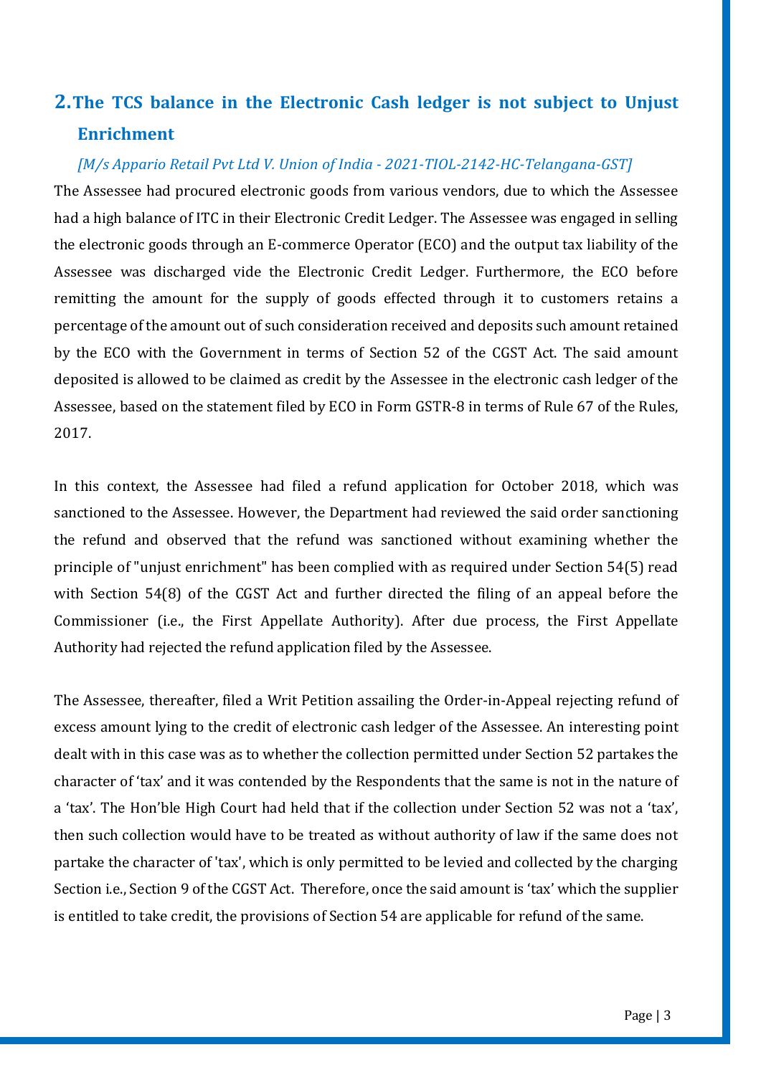# <span id="page-2-0"></span>**2.The TCS balance in the Electronic Cash ledger is not subject to Unjust Enrichment**

### *[M/s Appario Retail Pvt Ltd V. Union of India - 2021-TIOL-2142-HC-Telangana-GST]*

The Assessee had procured electronic goods from various vendors, due to which the Assessee had a high balance of ITC in their Electronic Credit Ledger. The Assessee was engaged in selling the electronic goods through an E-commerce Operator (ECO) and the output tax liability of the Assessee was discharged vide the Electronic Credit Ledger. Furthermore, the ECO before remitting the amount for the supply of goods effected through it to customers retains a percentage of the amount out of such consideration received and deposits such amount retained by the ECO with the Government in terms of Section 52 of the CGST Act. The said amount deposited is allowed to be claimed as credit by the Assessee in the electronic cash ledger of the Assessee, based on the statement filed by ECO in Form GSTR-8 in terms of Rule 67 of the Rules, 2017.

In this context, the Assessee had filed a refund application for October 2018, which was sanctioned to the Assessee. However, the Department had reviewed the said order sanctioning the refund and observed that the refund was sanctioned without examining whether the principle of "unjust enrichment" has been complied with as required under Section 54(5) read with Section 54(8) of the CGST Act and further directed the filing of an appeal before the Commissioner (i.e., the First Appellate Authority). After due process, the First Appellate Authority had rejected the refund application filed by the Assessee.

The Assessee, thereafter, filed a Writ Petition assailing the Order-in-Appeal rejecting refund of excess amount lying to the credit of electronic cash ledger of the Assessee. An interesting point dealt with in this case was as to whether the collection permitted under Section 52 partakes the character of 'tax' and it was contended by the Respondents that the same is not in the nature of a 'tax'. The Hon'ble High Court had held that if the collection under Section 52 was not a 'tax', then such collection would have to be treated as without authority of law if the same does not partake the character of 'tax', which is only permitted to be levied and collected by the charging Section i.e., Section 9 of the CGST Act. Therefore, once the said amount is 'tax' which the supplier is entitled to take credit, the provisions of Section 54 are applicable for refund of the same.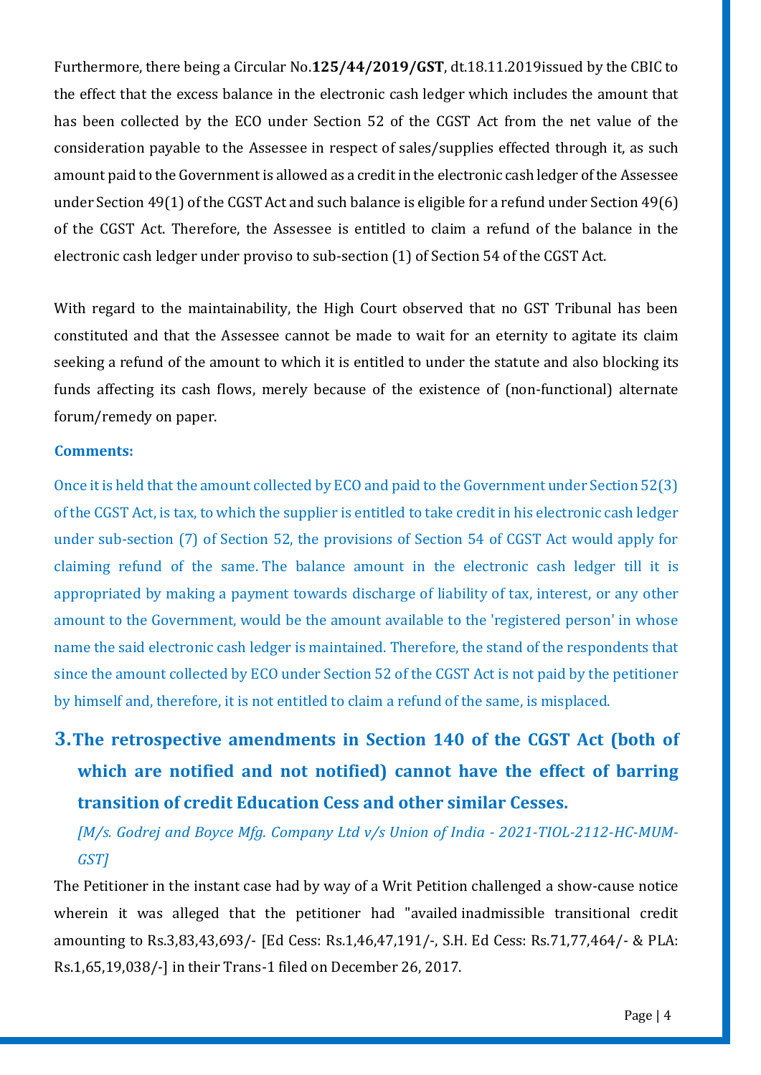Furthermore, there being a Circular No.**125/44/2019/GST**, dt.18.11.2019issued by the CBIC to the effect that the excess balance in the electronic cash ledger which includes the amount that has been collected by the ECO under Section 52 of the CGST Act from the net value of the consideration payable to the Assessee in respect of sales/supplies effected through it, as such amount paid to the Government is allowed as a credit in the electronic cash ledger of the Assessee under Section 49(1) of the CGST Act and such balance is eligible for a refund under Section 49(6) of the CGST Act. Therefore, the Assessee is entitled to claim a refund of the balance in the electronic cash ledger under proviso to sub-section (1) of Section 54 of the CGST Act.

With regard to the maintainability, the High Court observed that no GST Tribunal has been constituted and that the Assessee cannot be made to wait for an eternity to agitate its claim seeking a refund of the amount to which it is entitled to under the statute and also blocking its funds affecting its cash flows, merely because of the existence of (non-functional) alternate forum/remedy on paper.

### **Comments:**

Once it is held that the amount collected by ECO and paid to the Government under Section 52(3) of the CGST Act, is tax, to which the supplier is entitled to take credit in his electronic cash ledger under sub-section (7) of Section 52, the provisions of Section 54 of CGST Act would apply for claiming refund of the same. The balance amount in the electronic cash ledger till it is appropriated by making a payment towards discharge of liability of tax, interest, or any other amount to the Government, would be the amount available to the 'registered person' in whose name the said electronic cash ledger is maintained. Therefore, the stand of the respondents that since the amount collected by ECO under Section 52 of the CGST Act is not paid by the petitioner by himself and, therefore, it is not entitled to claim a refund of the same, is misplaced.

# <span id="page-3-0"></span>**3.The retrospective amendments in Section 140 of the CGST Act (both of which are notified and not notified) cannot have the effect of barring transition of credit Education Cess and other similar Cesses.**

## *[M/s. Godrej and Boyce Mfg. Company Ltd v/s Union of India - 2021-TIOL-2112-HC-MUM-GST]*

The Petitioner in the instant case had by way of a Writ Petition challenged a show-cause notice wherein it was alleged that the petitioner had "availed inadmissible transitional credit amounting to Rs.3,83,43,693/- [Ed Cess: Rs.1,46,47,191/-, S.H. Ed Cess: Rs.71,77,464/- & PLA: Rs.1,65,19,038/-] in their Trans-1 filed on December 26, 2017.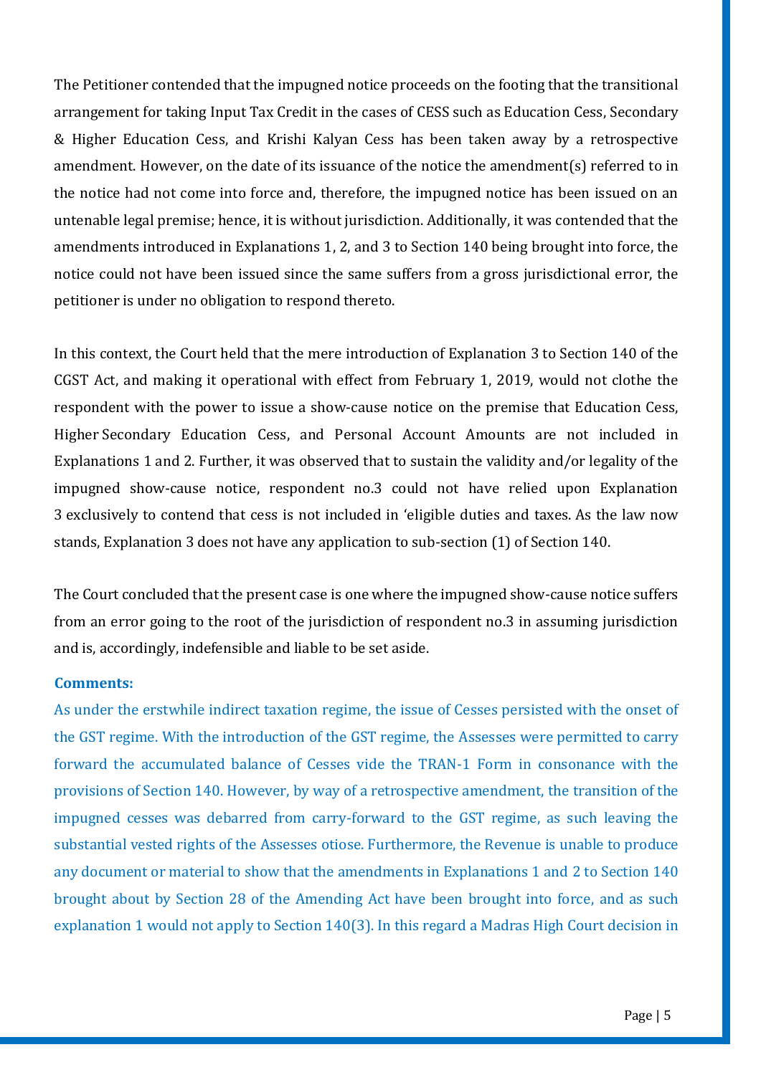The Petitioner contended that the impugned notice proceeds on the footing that the transitional arrangement for taking Input Tax Credit in the cases of CESS such as Education Cess, Secondary & Higher Education Cess, and Krishi Kalyan Cess has been taken away by a retrospective amendment. However, on the date of its issuance of the notice the amendment(s) referred to in the notice had not come into force and, therefore, the impugned notice has been issued on an untenable legal premise; hence, it is without jurisdiction. Additionally, it was contended that the amendments introduced in Explanations 1, 2, and 3 to Section 140 being brought into force, the notice could not have been issued since the same suffers from a gross jurisdictional error, the petitioner is under no obligation to respond thereto.

In this context, the Court held that the mere introduction of Explanation 3 to Section 140 of the CGST Act, and making it operational with effect from February 1, 2019, would not clothe the respondent with the power to issue a show-cause notice on the premise that Education Cess, Higher Secondary Education Cess, and Personal Account Amounts are not included in Explanations 1 and 2. Further, it was observed that to sustain the validity and/or legality of the impugned show-cause notice, respondent no.3 could not have relied upon Explanation 3 exclusively to contend that cess is not included in 'eligible duties and taxes. As the law now stands, Explanation 3 does not have any application to sub-section (1) of Section 140.

The Court concluded that the present case is one where the impugned show-cause notice suffers from an error going to the root of the jurisdiction of respondent no.3 in assuming jurisdiction and is, accordingly, indefensible and liable to be set aside.

### **Comments:**

As under the erstwhile indirect taxation regime, the issue of Cesses persisted with the onset of the GST regime. With the introduction of the GST regime, the Assesses were permitted to carry forward the accumulated balance of Cesses vide the TRAN-1 Form in consonance with the provisions of Section 140. However, by way of a retrospective amendment, the transition of the impugned cesses was debarred from carry-forward to the GST regime, as such leaving the substantial vested rights of the Assesses otiose. Furthermore, the Revenue is unable to produce any document or material to show that the amendments in Explanations 1 and 2 to Section 140 brought about by Section 28 of the Amending Act have been brought into force, and as such explanation 1 would not apply to Section 140(3). In this regard a Madras High Court decision in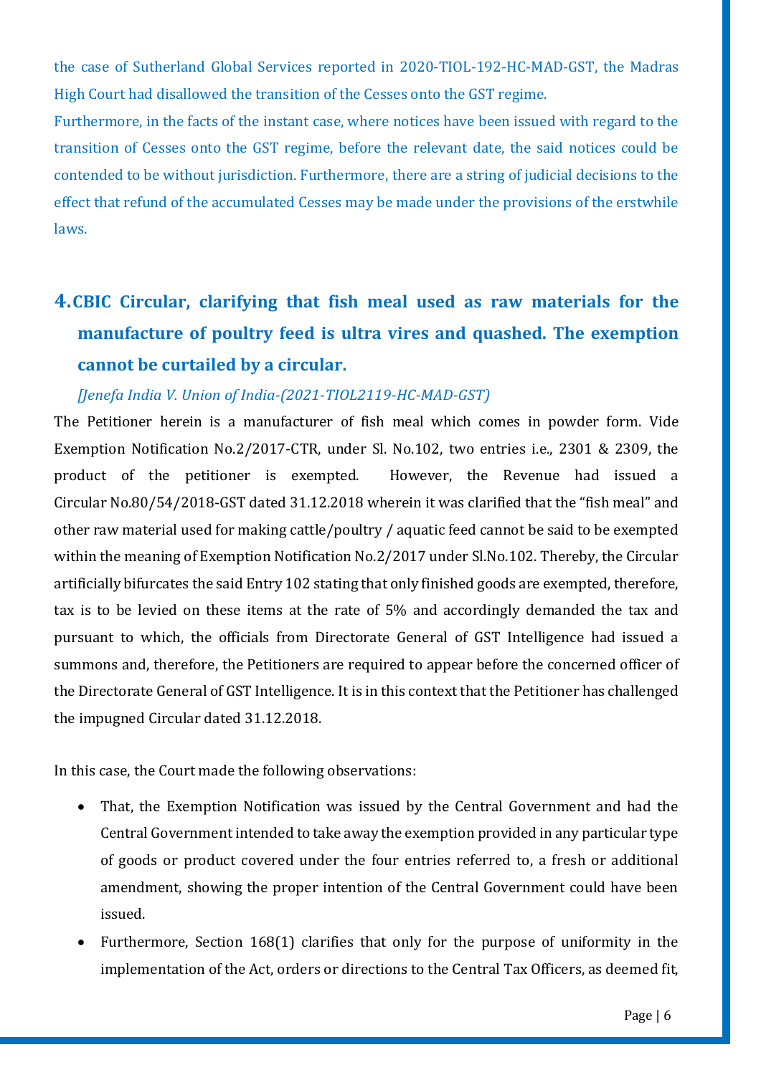the case of Sutherland Global Services reported in 2020-TIOL-192-HC-MAD-GST, the Madras High Court had disallowed the transition of the Cesses onto the GST regime.

Furthermore, in the facts of the instant case, where notices have been issued with regard to the transition of Cesses onto the GST regime, before the relevant date, the said notices could be contended to be without jurisdiction. Furthermore, there are a string of judicial decisions to the effect that refund of the accumulated Cesses may be made under the provisions of the erstwhile laws.

# <span id="page-5-0"></span>**4.CBIC Circular, clarifying that fish meal used as raw materials for the manufacture of poultry feed is ultra vires and quashed. The exemption cannot be curtailed by a circular.**

### *[Jenefa India V. Union of India-(2021-TIOL2119-HC-MAD-GST)*

The Petitioner herein is a manufacturer of fish meal which comes in powder form. Vide Exemption Notification No.2/2017-CTR, under Sl. No.102, two entries i.e., 2301 & 2309, the product of the petitioner is exempted. However, the Revenue had issued a Circular No[.80/54/2018-GST](https://taxindiaonline.com/RC2/notDesc.php?MpoQSrPnM=MjUyMDA=) dated 31.12.2018 wherein it was clarified that the "fish meal" and other raw material used for making cattle/poultry / aquatic feed cannot be said to be exempted within the meaning of Exemption Notification No.2/2017 under Sl.No.102. Thereby, the Circular artificially bifurcates the said Entry 102 stating that only finished goods are exempted, therefore, tax is to be levied on these items at the rate of 5% and accordingly demanded the tax and pursuant to which, the officials from Directorate General of GST Intelligence had issued a summons and, therefore, the Petitioners are required to appear before the concerned officer of the Directorate General of GST Intelligence. It is in this context that the Petitioner has challenged the impugned Circular dated 31.12.2018.

In this case, the Court made the following observations:

- That, the Exemption Notification was issued by the Central Government and had the Central Government intended to take away the exemption provided in any particular type of goods or product covered under the four entries referred to, a fresh or additional amendment, showing the proper intention of the Central Government could have been issued.
- Furthermore, Section 168(1) clarifies that only for the purpose of uniformity in the implementation of the Act, orders or directions to the Central Tax Officers, as deemed fit,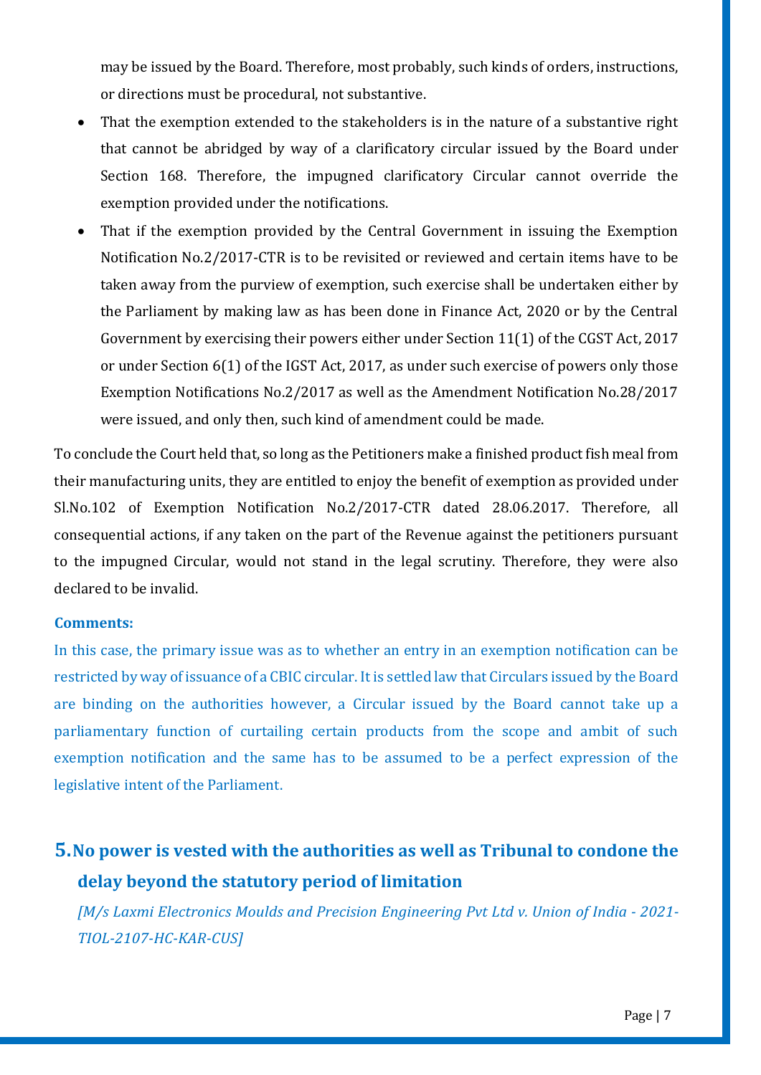may be issued by the Board. Therefore, most probably, such kinds of orders, instructions, or directions must be procedural, not substantive.

- That the exemption extended to the stakeholders is in the nature of a substantive right that cannot be abridged by way of a clarificatory circular issued by the Board under Section 168. Therefore, the impugned clarificatory Circular cannot override the exemption provided under the notifications.
- That if the exemption provided by the Central Government in issuing the Exemption Notification No.2/2017-CTR is to be revisited or reviewed and certain items have to be taken away from the purview of exemption, such exercise shall be undertaken either by the Parliament by making law as has been done in Finance Act, 2020 or by the Central Government by exercising their powers either under Section 11(1) of the CGST Act, 2017 or under Section 6(1) of the IGST Act, 2017, as under such exercise of powers only those Exemption Notifications No.2/2017 as well as the Amendment Notification No.28/2017 were issued, and only then, such kind of amendment could be made.

To conclude the Court held that, so long as the Petitioners make a finished product fish meal from their manufacturing units, they are entitled to enjoy the benefit of exemption as provided under Sl.No.102 of Exemption Notification No.2/2017-CTR dated 28.06.2017. Therefore, all consequential actions, if any taken on the part of the Revenue against the petitioners pursuant to the impugned Circular, would not stand in the legal scrutiny. Therefore, they were also declared to be invalid.

### **Comments:**

In this case, the primary issue was as to whether an entry in an exemption notification can be restricted by way of issuance of a CBIC circular. It is settled law that Circulars issued by the Board are binding on the authorities however, a Circular issued by the Board cannot take up a parliamentary function of curtailing certain products from the scope and ambit of such exemption notification and the same has to be assumed to be a perfect expression of the legislative intent of the Parliament.

# <span id="page-6-0"></span>**5.[No power is vested with the authorities as well as Tribunal to condone the](https://taxindiaonline.com/RC2/caseLawDet.php?QoPmnXyZ=MTY4ODMz)  [delay beyond the statutory period of limitation](https://taxindiaonline.com/RC2/caseLawDet.php?QoPmnXyZ=MTY4ODMz)**

*[M/s Laxmi Electronics Moulds and Precision Engineering Pvt Ltd v. Union of India - 2021- TIOL-2107-HC-KAR-CUS]*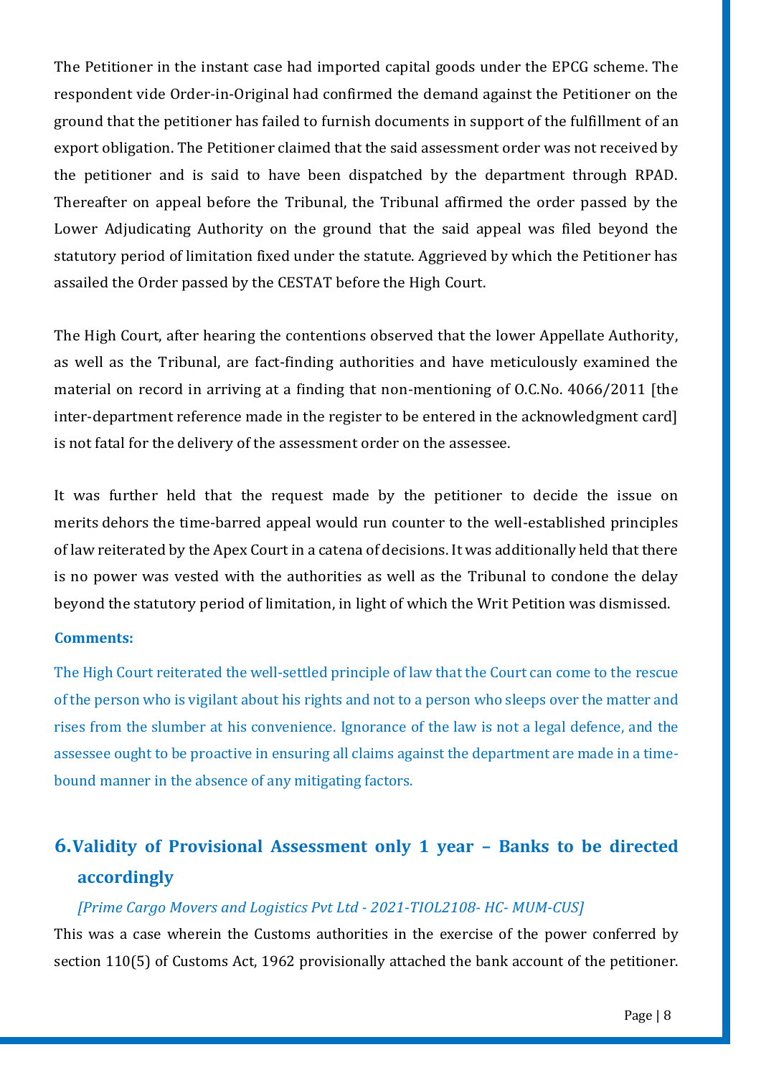The Petitioner in the instant case had imported capital goods under the EPCG scheme. The respondent vide Order-in-Original had confirmed the demand against the Petitioner on the ground that the petitioner has failed to furnish documents in support of the fulfillment of an export obligation. The Petitioner claimed that the said assessment order was not received by the petitioner and is said to have been dispatched by the department through RPAD. Thereafter on appeal before the Tribunal, the Tribunal affirmed the order passed by the Lower Adjudicating Authority on the ground that the said appeal was filed beyond the statutory period of limitation fixed under the statute. Aggrieved by which the Petitioner has assailed the Order passed by the CESTAT before the High Court.

The High Court, after hearing the contentions observed that the lower Appellate Authority, as well as the Tribunal, are fact-finding authorities and have meticulously examined the material on record in arriving at a finding that non-mentioning of O.C.No. 4066/2011 [the inter-department reference made in the register to be entered in the acknowledgment card] is not fatal for the delivery of the assessment order on the assessee.

It was further held that the request made by the petitioner to decide the issue on merits dehors the time-barred appeal would run counter to the well-established principles of law reiterated by the Apex Court in a catena of decisions. It was additionally held that there is no power was vested with the authorities as well as the Tribunal to condone the delay beyond the statutory period of limitation, in light of which the Writ Petition was dismissed.

### **Comments:**

The High Court reiterated the well-settled principle of law that the Court can come to the rescue of the person who is vigilant about his rights and not to a person who sleeps over the matter and rises from the slumber at his convenience. Ignorance of the law is not a legal defence, and the assessee ought to be proactive in ensuring all claims against the department are made in a timebound manner in the absence of any mitigating factors.

# <span id="page-7-0"></span>**6.Validity of Provisional Assessment only 1 year – Banks to be directed accordingly**

### *[Prime Cargo Movers and Logistics Pvt Ltd - 2021-TIOL2108- HC- MUM-CUS]*

This was a case wherein the Customs authorities in the exercise of the power conferred by section 110(5) of Customs Act, 1962 provisionally attached the bank account of the petitioner.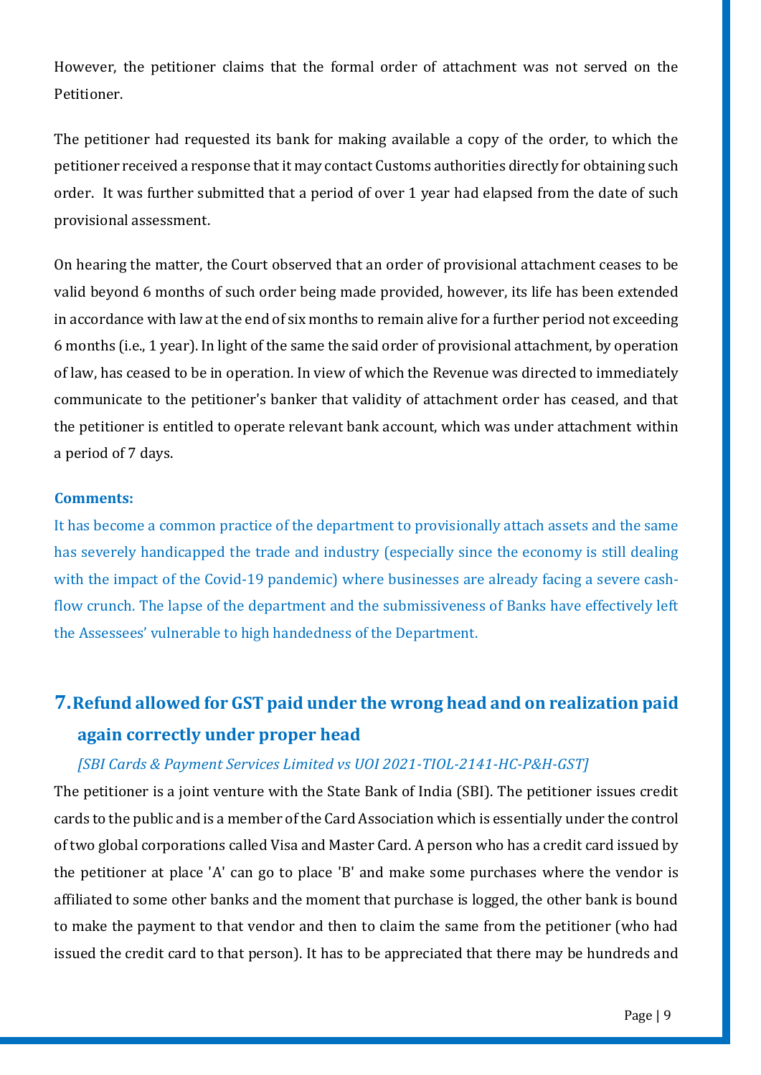However, the petitioner claims that the formal order of attachment was not served on the Petitioner.

The petitioner had requested its bank for making available a copy of the order, to which the petitioner received a response that it may contact Customs authorities directly for obtaining such order. It was further submitted that a period of over 1 year had elapsed from the date of such provisional assessment.

On hearing the matter, the Court observed that an order of provisional attachment ceases to be valid beyond 6 months of such order being made provided, however, its life has been extended in accordance with law at the end of six months to remain alive for a further period not exceeding 6 months (i.e., 1 year). In light of the same the said order of provisional attachment, by operation of law, has ceased to be in operation. In view of which the Revenue was directed to immediately communicate to the petitioner's banker that validity of attachment order has ceased, and that the petitioner is entitled to operate relevant bank account, which was under attachment within a period of 7 days.

### **Comments:**

It has become a common practice of the department to provisionally attach assets and the same has severely handicapped the trade and industry (especially since the economy is still dealing with the impact of the Covid-19 pandemic) where businesses are already facing a severe cashflow crunch. The lapse of the department and the submissiveness of Banks have effectively left the Assessees' vulnerable to high handedness of the Department.

# <span id="page-8-0"></span>**7.Refund allowed for GST paid under the wrong head and on realization paid again correctly under proper head**

### *[SBI Cards & Payment Services Limited vs UOI 2021-TIOL-2141-HC-P&H-GST]*

The petitioner is a joint venture with the State Bank of India (SBI). The petitioner issues credit cards to the public and is a member of the Card Association which is essentially under the control of two global corporations called Visa and Master Card. A person who has a credit card issued by the petitioner at place 'A' can go to place 'B' and make some purchases where the vendor is affiliated to some other banks and the moment that purchase is logged, the other bank is bound to make the payment to that vendor and then to claim the same from the petitioner (who had issued the credit card to that person). It has to be appreciated that there may be hundreds and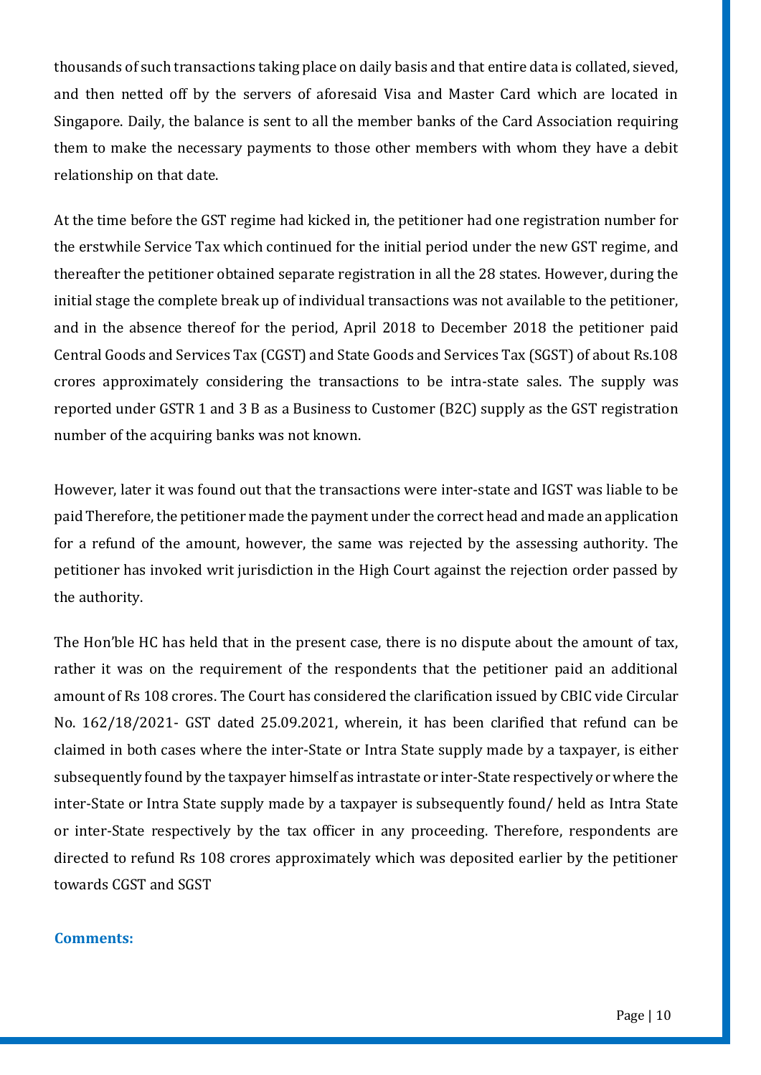thousands of such transactions taking place on daily basis and that entire data is collated, sieved, and then netted off by the servers of aforesaid Visa and Master Card which are located in Singapore. Daily, the balance is sent to all the member banks of the Card Association requiring them to make the necessary payments to those other members with whom they have a debit relationship on that date.

At the time before the GST regime had kicked in, the petitioner had one registration number for the erstwhile Service Tax which continued for the initial period under the new GST regime, and thereafter the petitioner obtained separate registration in all the 28 states. However, during the initial stage the complete break up of individual transactions was not available to the petitioner, and in the absence thereof for the period, April 2018 to December 2018 the petitioner paid Central Goods and Services Tax (CGST) and State Goods and Services Tax (SGST) of about Rs.108 crores approximately considering the transactions to be intra-state sales. The supply was reported under GSTR 1 and 3 B as a Business to Customer (B2C) supply as the GST registration number of the acquiring banks was not known.

However, later it was found out that the transactions were inter-state and IGST was liable to be paid Therefore, the petitioner made the payment under the correct head and made an application for a refund of the amount, however, the same was rejected by the assessing authority. The petitioner has invoked writ jurisdiction in the High Court against the rejection order passed by the authority.

The Hon'ble HC has held that in the present case, there is no dispute about the amount of tax, rather it was on the requirement of the respondents that the petitioner paid an additional amount of Rs 108 crores. The Court has considered the clarification issued by CBIC vide Circular No. 162/18/2021- GST dated 25.09.2021, wherein, it has been clarified that refund can be claimed in both cases where the inter-State or Intra State supply made by a taxpayer, is either subsequently found by the taxpayer himself as intrastate or inter-State respectively or where the inter-State or Intra State supply made by a taxpayer is subsequently found/ held as Intra State or inter-State respectively by the tax officer in any proceeding. Therefore, respondents are directed to refund Rs 108 crores approximately which was deposited earlier by the petitioner towards CGST and SGST

#### **Comments:**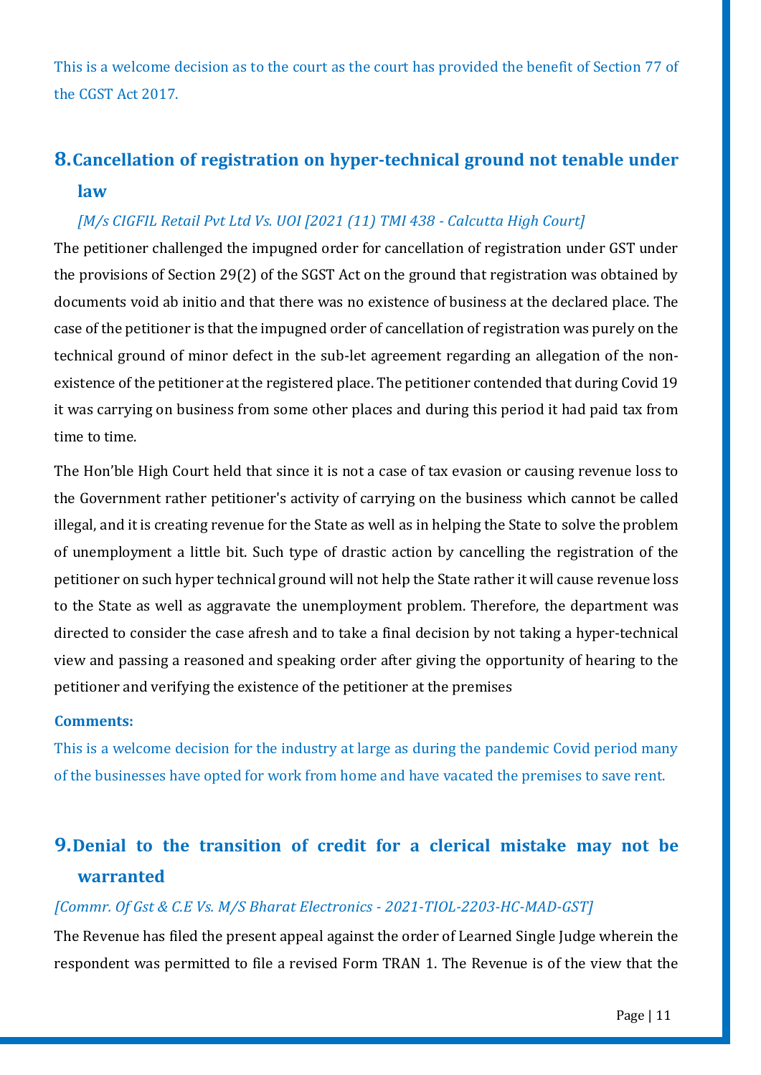This is a welcome decision as to the court as the court has provided the benefit of Section 77 of the CGST Act 2017.

# <span id="page-10-0"></span>**8.Cancellation of registration on hyper-technical ground not tenable under law**

### *[M/s CIGFIL Retail Pvt Ltd Vs. UOI [2021 (11) TMI 438 - Calcutta High Court]*

The petitioner challenged the impugned order for cancellation of registration under GST under the provisions of Section 29(2) of the SGST Act on the ground that registration was obtained by documents void ab initio and that there was no existence of business at the declared place. The case of the petitioner is that the impugned order of cancellation of registration was purely on the technical ground of minor defect in the sub-let agreement regarding an allegation of the nonexistence of the petitioner at the registered place. The petitioner contended that during Covid 19 it was carrying on business from some other places and during this period it had paid tax from time to time.

The Hon'ble High Court held that since it is not a case of tax evasion or causing revenue loss to the Government rather petitioner's activity of carrying on the business which cannot be called illegal, and it is creating revenue for the State as well as in helping the State to solve the problem of unemployment a little bit. Such type of drastic action by cancelling the registration of the petitioner on such hyper technical ground will not help the State rather it will cause revenue loss to the State as well as aggravate the unemployment problem. Therefore, the department was directed to consider the case afresh and to take a final decision by not taking a hyper-technical view and passing a reasoned and speaking order after giving the opportunity of hearing to the petitioner and verifying the existence of the petitioner at the premises

#### **Comments:**

This is a welcome decision for the industry at large as during the pandemic Covid period many of the businesses have opted for work from home and have vacated the premises to save rent.

# <span id="page-10-1"></span>**9.Denial to the transition of credit for a clerical mistake may not be warranted**

### *[Commr. Of Gst & C.E Vs. M/S Bharat Electronics - 2021-TIOL-2203-HC-MAD-GST]*

The Revenue has filed the present appeal against the order of Learned Single Judge wherein the respondent was permitted to file a revised Form TRAN 1. The Revenue is of the view that the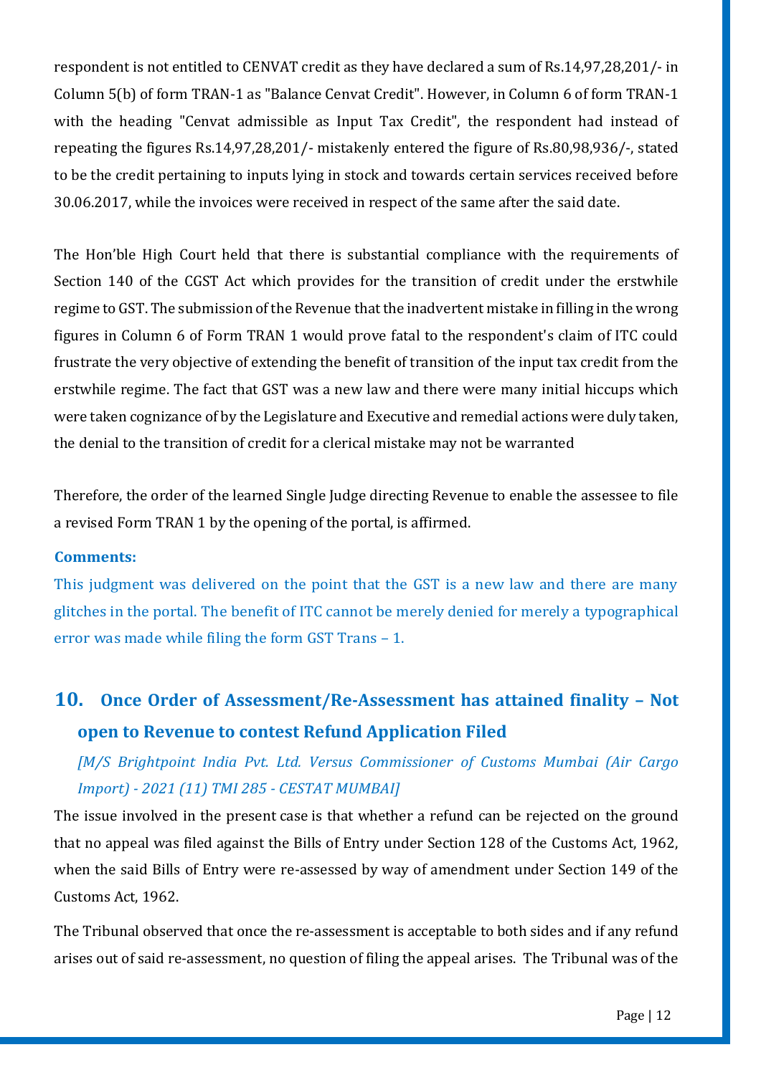respondent is not entitled to CENVAT credit as they have declared a sum of Rs.14,97,28,201/- in Column 5(b) of form TRAN-1 as "Balance Cenvat Credit". However, in Column 6 of form TRAN-1 with the heading "Cenvat admissible as Input Tax Credit", the respondent had instead of repeating the figures Rs.14,97,28,201/- mistakenly entered the figure of Rs.80,98,936/-, stated to be the credit pertaining to inputs lying in stock and towards certain services received before 30.06.2017, while the invoices were received in respect of the same after the said date.

The Hon'ble High Court held that there is substantial compliance with the requirements of Section 140 of the CGST Act which provides for the transition of credit under the erstwhile regime to GST. The submission of the Revenue that the inadvertent mistake in filling in the wrong figures in Column 6 of Form TRAN 1 would prove fatal to the respondent's claim of ITC could frustrate the very objective of extending the benefit of transition of the input tax credit from the erstwhile regime. The fact that GST was a new law and there were many initial hiccups which were taken cognizance of by the Legislature and Executive and remedial actions were duly taken, the denial to the transition of credit for a clerical mistake may not be warranted

Therefore, the order of the learned Single Judge directing Revenue to enable the assessee to file a revised Form TRAN 1 by the opening of the portal, is affirmed.

### **Comments:**

This judgment was delivered on the point that the GST is a new law and there are many glitches in the portal. The benefit of ITC cannot be merely denied for merely a typographical error was made while filing the form GST Trans – 1.

# <span id="page-11-0"></span>**10. Once Order of Assessment/Re-Assessment has attained finality – Not open to Revenue to contest Refund Application Filed**

*[M/S Brightpoint India Pvt. Ltd. Versus Commissioner of Customs Mumbai (Air Cargo Import) - 2021 (11) TMI 285 - CESTAT MUMBAI]*

The issue involved in the present case is that whether a refund can be rejected on the ground that no appeal was filed against the Bills of Entry under Section 128 of the Customs Act, 1962, when the said Bills of Entry were re-assessed by way of amendment under Section 149 of the Customs Act, 1962.

The Tribunal observed that once the re-assessment is acceptable to both sides and if any refund arises out of said re-assessment, no question of filing the appeal arises. The Tribunal was of the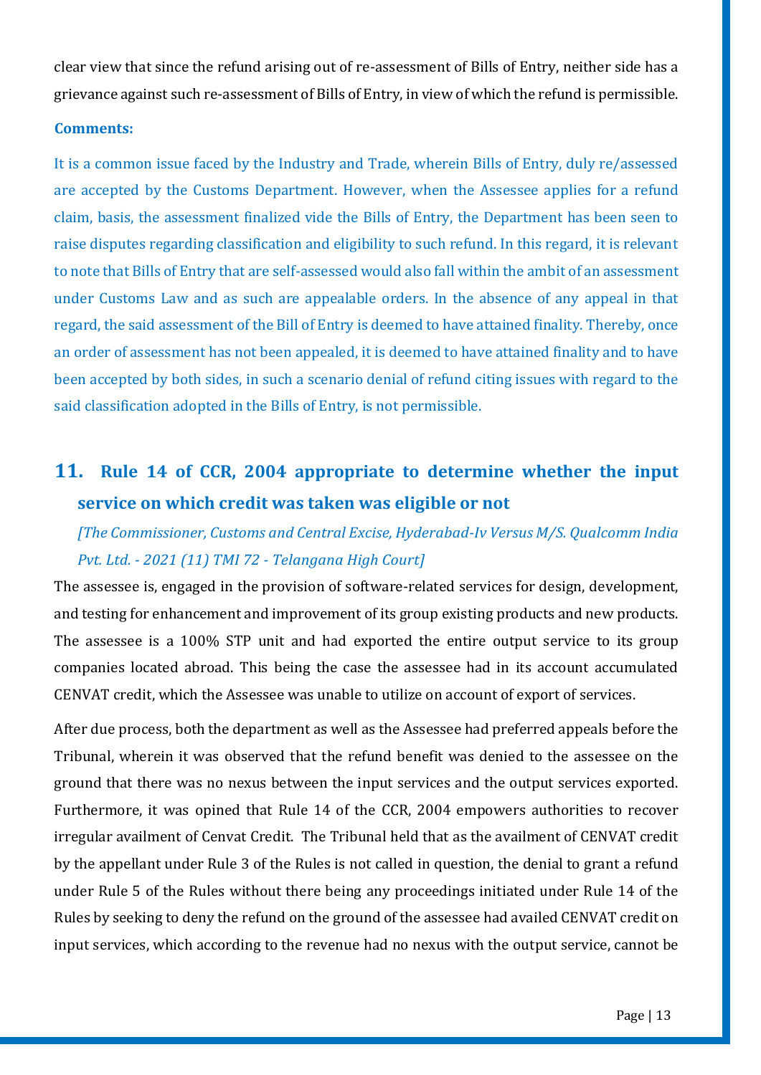clear view that since the refund arising out of re-assessment of Bills of Entry, neither side has a grievance against such re-assessment of Bills of Entry, in view of which the refund is permissible.

#### **Comments:**

It is a common issue faced by the Industry and Trade, wherein Bills of Entry, duly re/assessed are accepted by the Customs Department. However, when the Assessee applies for a refund claim, basis, the assessment finalized vide the Bills of Entry, the Department has been seen to raise disputes regarding classification and eligibility to such refund. In this regard, it is relevant to note that Bills of Entry that are self-assessed would also fall within the ambit of an assessment under Customs Law and as such are appealable orders. In the absence of any appeal in that regard, the said assessment of the Bill of Entry is deemed to have attained finality. Thereby, once an order of assessment has not been appealed, it is deemed to have attained finality and to have been accepted by both sides, in such a scenario denial of refund citing issues with regard to the said classification adopted in the Bills of Entry, is not permissible.

# <span id="page-12-0"></span>**11. Rule 14 of CCR, 2004 appropriate to determine whether the input service on which credit was taken was eligible or not**

*[The Commissioner, Customs and Central Excise, Hyderabad-Iv Versus M/S. Qualcomm India Pvt. Ltd. - 2021 (11) TMI 72 - Telangana High Court]*

The assessee is, engaged in the provision of software-related services for design, development, and testing for enhancement and improvement of its group existing products and new products. The assessee is a 100% STP unit and had exported the entire output service to its group companies located abroad. This being the case the assessee had in its account accumulated CENVAT credit, which the Assessee was unable to utilize on account of export of services.

After due process, both the department as well as the Assessee had preferred appeals before the Tribunal, wherein it was observed that the refund benefit was denied to the assessee on the ground that there was no nexus between the input services and the output services exported. Furthermore, it was opined that Rule 14 of the CCR, 2004 empowers authorities to recover irregular availment of Cenvat Credit. The Tribunal held that as the availment of CENVAT credit by the appellant under Rule 3 of the Rules is not called in question, the denial to grant a refund under Rule 5 of the Rules without there being any proceedings initiated under Rule 14 of the Rules by seeking to deny the refund on the ground of the assessee had availed CENVAT credit on input services, which according to the revenue had no nexus with the output service, cannot be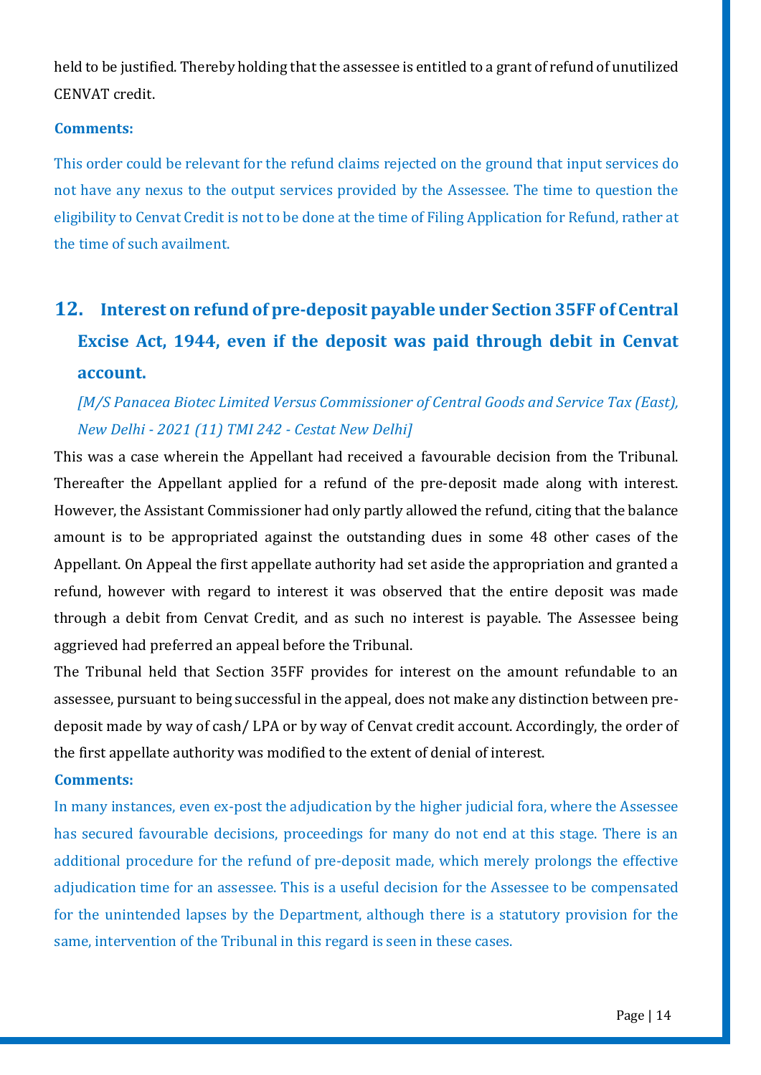held to be justified. Thereby holding that the assessee is entitled to a grant of refund of unutilized CENVAT credit.

### **Comments:**

This order could be relevant for the refund claims rejected on the ground that input services do not have any nexus to the output services provided by the Assessee. The time to question the eligibility to Cenvat Credit is not to be done at the time of Filing Application for Refund, rather at the time of such availment.

# <span id="page-13-0"></span>**12. Interest on refund of pre-deposit payable under Section 35FF of Central Excise Act, 1944, even if the deposit was paid through debit in Cenvat account.**

# *[M/S Panacea Biotec Limited Versus Commissioner of Central Goods and Service Tax (East), New Delhi - 2021 (11) TMI 242 - Cestat New Delhi]*

This was a case wherein the Appellant had received a favourable decision from the Tribunal. Thereafter the Appellant applied for a refund of the pre-deposit made along with interest. However, the Assistant Commissioner had only partly allowed the refund, citing that the balance amount is to be appropriated against the outstanding dues in some 48 other cases of the Appellant. On Appeal the first appellate authority had set aside the appropriation and granted a refund, however with regard to interest it was observed that the entire deposit was made through a debit from Cenvat Credit, and as such no interest is payable. The Assessee being aggrieved had preferred an appeal before the Tribunal.

The Tribunal held that Section 35FF provides for interest on the amount refundable to an assessee, pursuant to being successful in the appeal, does not make any distinction between predeposit made by way of cash/ LPA or by way of Cenvat credit account. Accordingly, the order of the first appellate authority was modified to the extent of denial of interest.

### **Comments:**

In many instances, even ex-post the adjudication by the higher judicial fora, where the Assessee has secured favourable decisions, proceedings for many do not end at this stage. There is an additional procedure for the refund of pre-deposit made, which merely prolongs the effective adjudication time for an assessee. This is a useful decision for the Assessee to be compensated for the unintended lapses by the Department, although there is a statutory provision for the same, intervention of the Tribunal in this regard is seen in these cases.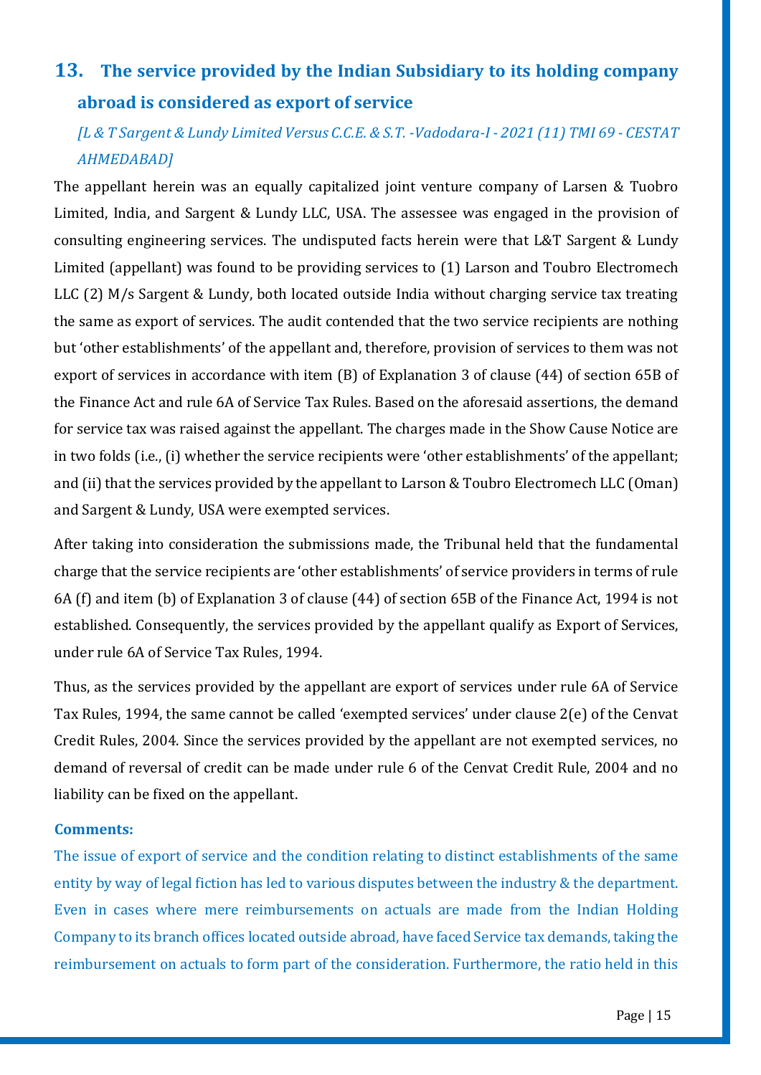# <span id="page-14-0"></span>**13. The service provided by the Indian Subsidiary to its holding company abroad is considered as export of service**

# *[L & T Sargent & Lundy Limited Versus C.C.E. & S.T. -Vadodara-I - 2021 (11) TMI 69 - CESTAT AHMEDABAD]*

The appellant herein was an equally capitalized joint venture company of Larsen & Tuobro Limited, India, and Sargent & Lundy LLC, USA. The assessee was engaged in the provision of consulting engineering services. The undisputed facts herein were that L&T Sargent & Lundy Limited (appellant) was found to be providing services to (1) Larson and Toubro Electromech LLC (2) M/s Sargent & Lundy, both located outside India without charging service tax treating the same as export of services. The audit contended that the two service recipients are nothing but 'other establishments' of the appellant and, therefore, provision of services to them was not export of services in accordance with item (B) of Explanation 3 of clause (44) of section 65B of the Finance Act and rule 6A of Service Tax Rules. Based on the aforesaid assertions, the demand for service tax was raised against the appellant. The charges made in the Show Cause Notice are in two folds (i.e., (i) whether the service recipients were 'other establishments' of the appellant; and (ii) that the services provided by the appellant to Larson & Toubro Electromech LLC (Oman) and Sargent & Lundy, USA were exempted services.

After taking into consideration the submissions made, the Tribunal held that the fundamental charge that the service recipients are 'other establishments' of service providers in terms of rule 6A (f) and item (b) of Explanation 3 of clause (44) of section 65B of the Finance Act, 1994 is not established. Consequently, the services provided by the appellant qualify as Export of Services, under rule 6A of Service Tax Rules, 1994.

Thus, as the services provided by the appellant are export of services under rule 6A of Service Tax Rules, 1994, the same cannot be called 'exempted services' under clause 2(e) of the Cenvat Credit Rules, 2004. Since the services provided by the appellant are not exempted services, no demand of reversal of credit can be made under rule 6 of the Cenvat Credit Rule, 2004 and no liability can be fixed on the appellant.

### **Comments:**

The issue of export of service and the condition relating to distinct establishments of the same entity by way of legal fiction has led to various disputes between the industry & the department. Even in cases where mere reimbursements on actuals are made from the Indian Holding Company to its branch offices located outside abroad, have faced Service tax demands, taking the reimbursement on actuals to form part of the consideration. Furthermore, the ratio held in this